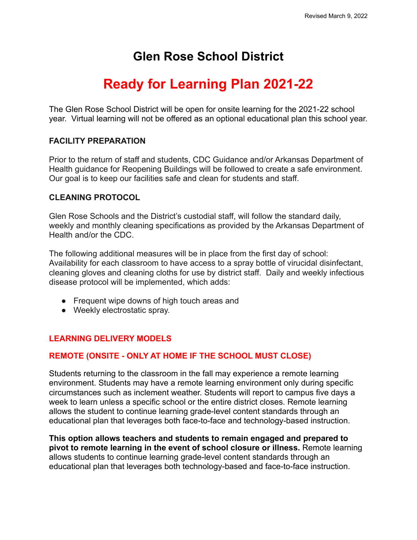## **Glen Rose School District**

# **Ready for Learning Plan 2021-22**

The Glen Rose School District will be open for onsite learning for the 2021-22 school year. Virtual learning will not be offered as an optional educational plan this school year.

## **FACILITY PREPARATION**

Prior to the return of staff and students, CDC Guidance and/or Arkansas Department of Health guidance for Reopening Buildings will be followed to create a safe environment. Our goal is to keep our facilities safe and clean for students and staff.

## **CLEANING PROTOCOL**

Glen Rose Schools and the District's custodial staff, will follow the standard daily, weekly and monthly cleaning specifications as provided by the Arkansas Department of Health and/or the CDC.

The following additional measures will be in place from the first day of school: Availability for each classroom to have access to a spray bottle of virucidal disinfectant, cleaning gloves and cleaning cloths for use by district staff. Daily and weekly infectious disease protocol will be implemented, which adds:

- Frequent wipe downs of high touch areas and
- Weekly electrostatic spray.

## **LEARNING DELIVERY MODELS**

## **REMOTE (ONSITE - ONLY AT HOME IF THE SCHOOL MUST CLOSE)**

Students returning to the classroom in the fall may experience a remote learning environment. Students may have a remote learning environment only during specific circumstances such as inclement weather. Students will report to campus five days a week to learn unless a specific school or the entire district closes. Remote learning allows the student to continue learning grade-level content standards through an educational plan that leverages both face-to-face and technology-based instruction.

**This option allows teachers and students to remain engaged and prepared to pivot to remote learning in the event of school closure or illness.** Remote learning allows students to continue learning grade-level content standards through an educational plan that leverages both technology-based and face-to-face instruction.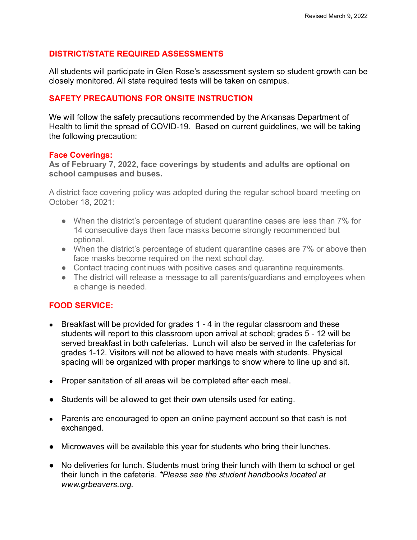## **DISTRICT/STATE REQUIRED ASSESSMENTS**

All students will participate in Glen Rose's assessment system so student growth can be closely monitored. All state required tests will be taken on campus.

#### **SAFETY PRECAUTIONS FOR ONSITE INSTRUCTION**

We will follow the safety precautions recommended by the Arkansas Department of Health to limit the spread of COVID-19. Based on current guidelines, we will be taking the following precaution:

#### **Face Coverings:**

**As of February 7, 2022, face coverings by students and adults are optional on school campuses and buses.**

A district face covering policy was adopted during the regular school board meeting on October 18, 2021:

- When the district's percentage of student quarantine cases are less than 7% for 14 consecutive days then face masks become strongly recommended but optional.
- When the district's percentage of student quarantine cases are 7% or above then face masks become required on the next school day.
- Contact tracing continues with positive cases and quarantine requirements.
- The district will release a message to all parents/guardians and employees when a change is needed.

## **FOOD SERVICE:**

- Breakfast will be provided for grades 1 4 in the regular classroom and these students will report to this classroom upon arrival at school; grades 5 - 12 will be served breakfast in both cafeterias. Lunch will also be served in the cafeterias for grades 1-12. Visitors will not be allowed to have meals with students. Physical spacing will be organized with proper markings to show where to line up and sit.
- Proper sanitation of all areas will be completed after each meal.
- Students will be allowed to get their own utensils used for eating.
- Parents are encouraged to open an online payment account so that cash is not exchanged.
- Microwaves will be available this year for students who bring their lunches.
- No deliveries for lunch. Students must bring their lunch with them to school or get their lunch in the cafeteria. *\*Please see the student handbooks located at www.grbeavers.org.*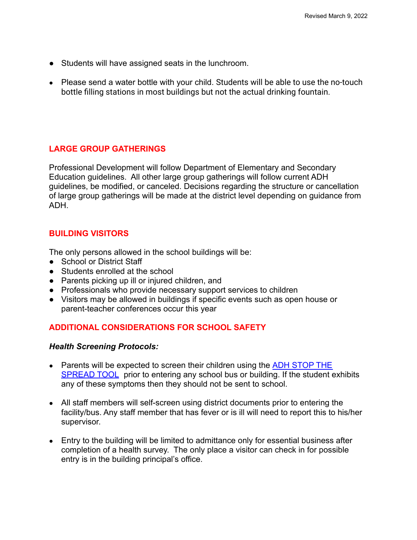- Students will have assigned seats in the lunchroom.
- Please send a water bottle with your child. Students will be able to use the no-touch bottle filling stations in most buildings but not the actual drinking fountain.

## **LARGE GROUP GATHERINGS**

Professional Development will follow Department of Elementary and Secondary Education guidelines. All other large group gatherings will follow current ADH guidelines, be modified, or canceled. Decisions regarding the structure or cancellation of large group gatherings will be made at the district level depending on guidance from ADH.

## **BUILDING VISITORS**

The only persons allowed in the school buildings will be:

- School or District Staff
- Students enrolled at the school
- Parents picking up ill or injured children, and
- Professionals who provide necessary support services to children
- Visitors may be allowed in buildings if specific events such as open house or parent-teacher conferences occur this year

## **ADDITIONAL CONSIDERATIONS FOR SCHOOL SAFETY**

## *Health Screening Protocols:*

- Parents will be expected to screen their children using the ADH STOP THE **SPREAD TOOL** prior to entering any school bus or building. If the student exhibits any of these symptoms then they should not be sent to school.
- All staff members will self-screen using district documents prior to entering the facility/bus. Any staff member that has fever or is ill will need to report this to his/her supervisor.
- Entry to the building will be limited to admittance only for essential business after completion of a health survey. The only place a visitor can check in for possible entry is in the building principal's office.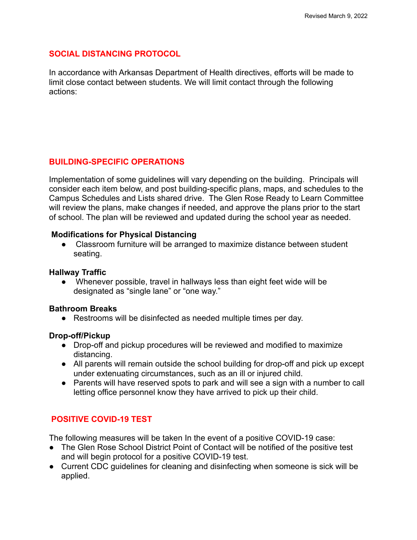## **SOCIAL DISTANCING PROTOCOL**

In accordance with Arkansas Department of Health directives, efforts will be made to limit close contact between students. We will limit contact through the following actions:

## **BUILDING-SPECIFIC OPERATIONS**

Implementation of some guidelines will vary depending on the building. Principals will consider each item below, and post building-specific plans, maps, and schedules to the Campus Schedules and Lists shared drive. The Glen Rose Ready to Learn Committee will review the plans, make changes if needed, and approve the plans prior to the start of school. The plan will be reviewed and updated during the school year as needed.

#### **Modifications for Physical Distancing**

● Classroom furniture will be arranged to maximize distance between student seating.

#### **Hallway Traffic**

● Whenever possible, travel in hallways less than eight feet wide will be designated as "single lane" or "one way."

#### **Bathroom Breaks**

● Restrooms will be disinfected as needed multiple times per day.

#### **Drop-off/Pickup**

- Drop-off and pickup procedures will be reviewed and modified to maximize distancing.
- All parents will remain outside the school building for drop-off and pick up except under extenuating circumstances, such as an ill or injured child.
- Parents will have reserved spots to park and will see a sign with a number to call letting office personnel know they have arrived to pick up their child.

## **POSITIVE COVID-19 TEST**

The following measures will be taken In the event of a positive COVID-19 case:

- The Glen Rose School District Point of Contact will be notified of the positive test and will begin protocol for a positive COVID-19 test.
- Current CDC guidelines for cleaning and disinfecting when someone is sick will be applied.